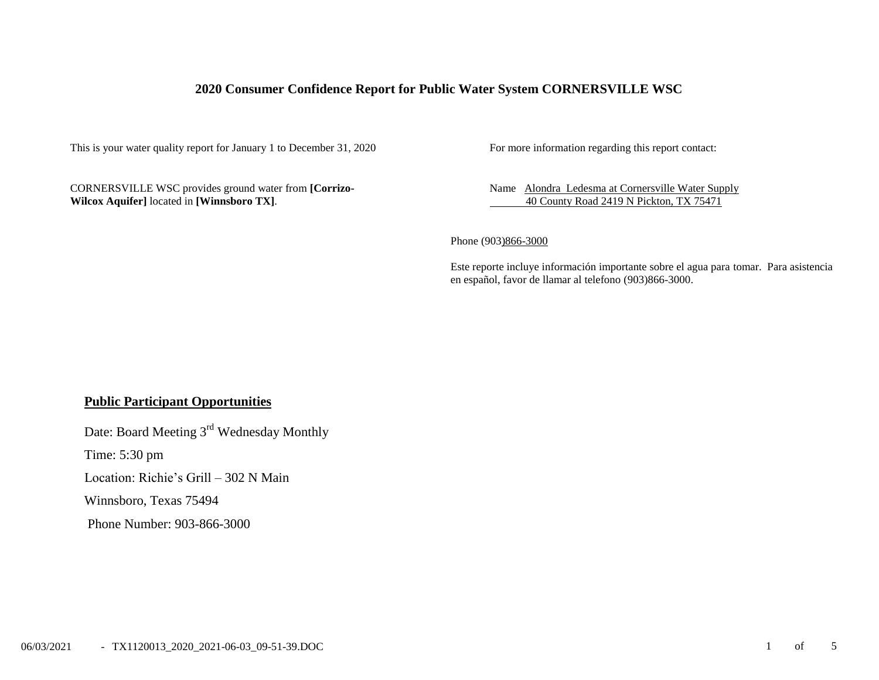## **2020 Consumer Confidence Report for Public Water System CORNERSVILLE WSC**

This is your water quality report for January 1 to December 31, 2020 For more information regarding this report contact:

CORNERSVILLE WSC provides ground water from **[Corrizo-Wilcox Aquifer]** located in **[Winnsboro TX]**.

Name Alondra Ledesma at Cornersville Water Supply 40 County Road 2419 N Pickton, TX 75471

Phone (903)866-3000

Este reporte incluye información importante sobre el agua para tomar. Para asistencia en español, favor de llamar al telefono (903)866-3000.

### **Public Participant Opportunities**

Date: Board Meeting 3<sup>rd</sup> Wednesday Monthly

Time: 5:30 pm

Location: Richie's Grill – 302 N Main

Winnsboro, Texas 75494

Phone Number: 903-866-3000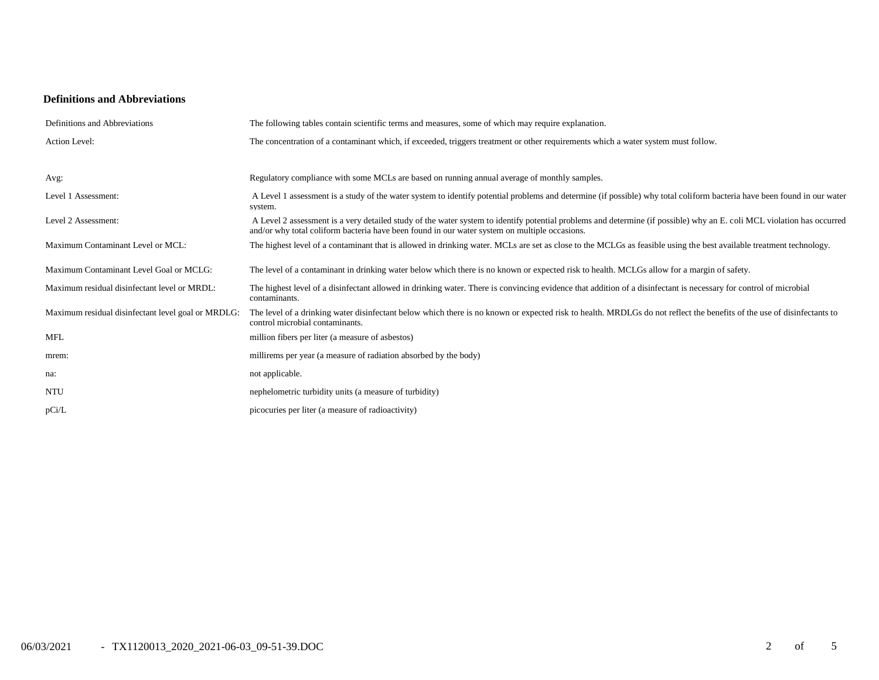#### **Definitions and Abbreviations**

| Definitions and Abbreviations                      | The following tables contain scientific terms and measures, some of which may require explanation.                                                                                                                                                                      |
|----------------------------------------------------|-------------------------------------------------------------------------------------------------------------------------------------------------------------------------------------------------------------------------------------------------------------------------|
| Action Level:                                      | The concentration of a contaminant which, if exceeded, triggers treatment or other requirements which a water system must follow.                                                                                                                                       |
| Avg:                                               | Regulatory compliance with some MCLs are based on running annual average of monthly samples.                                                                                                                                                                            |
| Level 1 Assessment:                                | A Level 1 assessment is a study of the water system to identify potential problems and determine (if possible) why total coliform bacteria have been found in our water<br>system.                                                                                      |
| Level 2 Assessment:                                | A Level 2 assessment is a very detailed study of the water system to identify potential problems and determine (if possible) why an E. coli MCL violation has occurred<br>and/or why total coliform bacteria have been found in our water system on multiple occasions. |
| Maximum Contaminant Level or MCL:                  | The highest level of a contaminant that is allowed in drinking water. MCLs are set as close to the MCLGs as feasible using the best available treatment technology.                                                                                                     |
| Maximum Contaminant Level Goal or MCLG:            | The level of a contaminant in drinking water below which there is no known or expected risk to health. MCLGs allow for a margin of safety.                                                                                                                              |
| Maximum residual disinfectant level or MRDL:       | The highest level of a disinfectant allowed in drinking water. There is convincing evidence that addition of a disinfectant is necessary for control of microbial<br>contaminants.                                                                                      |
| Maximum residual disinfectant level goal or MRDLG: | The level of a drinking water disinfectant below which there is no known or expected risk to health. MRDLGs do not reflect the benefits of the use of disinfectants to<br>control microbial contaminants.                                                               |
| <b>MFL</b>                                         | million fibers per liter (a measure of asbestos)                                                                                                                                                                                                                        |
| mrem:                                              | millirems per year (a measure of radiation absorbed by the body)                                                                                                                                                                                                        |
| na:                                                | not applicable.                                                                                                                                                                                                                                                         |
| <b>NTU</b>                                         | nephelometric turbidity units (a measure of turbidity)                                                                                                                                                                                                                  |
| pCi/L                                              | picocuries per liter (a measure of radioactivity)                                                                                                                                                                                                                       |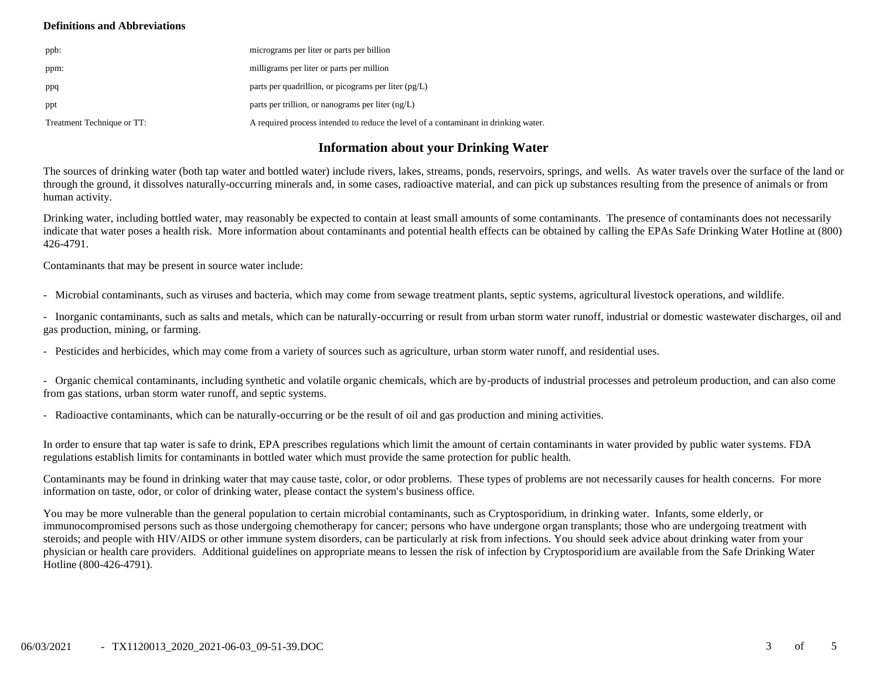#### **Definitions and Abbreviations**

| ppb:                       | micrograms per liter or parts per billion                                           |
|----------------------------|-------------------------------------------------------------------------------------|
| ppm:                       | milligrams per liter or parts per million                                           |
| ppq                        | parts per quadrillion, or picograms per liter $(pg/L)$                              |
| ppt                        | parts per trillion, or nanograms per liter $(ng/L)$                                 |
| Treatment Technique or TT: | A required process intended to reduce the level of a contaminant in drinking water. |

# **Information about your Drinking Water**

The sources of drinking water (both tap water and bottled water) include rivers, lakes, streams, ponds, reservoirs, springs, and wells. As water travels over the surface of the land or through the ground, it dissolves naturally-occurring minerals and, in some cases, radioactive material, and can pick up substances resulting from the presence of animals or from human activity.

Drinking water, including bottled water, may reasonably be expected to contain at least small amounts of some contaminants. The presence of contaminants does not necessarily indicate that water poses a health risk. More information about contaminants and potential health effects can be obtained by calling the EPAs Safe Drinking Water Hotline at (800) 426-4791.

Contaminants that may be present in source water include:

- Microbial contaminants, such as viruses and bacteria, which may come from sewage treatment plants, septic systems, agricultural livestock operations, and wildlife.

- Inorganic contaminants, such as salts and metals, which can be naturally-occurring or result from urban storm water runoff, industrial or domestic wastewater discharges, oil and gas production, mining, or farming.

- Pesticides and herbicides, which may come from a variety of sources such as agriculture, urban storm water runoff, and residential uses.

- Organic chemical contaminants, including synthetic and volatile organic chemicals, which are by-products of industrial processes and petroleum production, and can also come from gas stations, urban storm water runoff, and septic systems.

- Radioactive contaminants, which can be naturally-occurring or be the result of oil and gas production and mining activities.

In order to ensure that tap water is safe to drink, EPA prescribes regulations which limit the amount of certain contaminants in water provided by public water systems. FDA regulations establish limits for contaminants in bottled water which must provide the same protection for public health.

Contaminants may be found in drinking water that may cause taste, color, or odor problems. These types of problems are not necessarily causes for health concerns. For more information on taste, odor, or color of drinking water, please contact the system's business office.

You may be more vulnerable than the general population to certain microbial contaminants, such as Cryptosporidium, in drinking water. Infants, some elderly, or immunocompromised persons such as those undergoing chemotherapy for cancer; persons who have undergone organ transplants; those who are undergoing treatment with steroids; and people with HIV/AIDS or other immune system disorders, can be particularly at risk from infections. You should seek advice about drinking water from your physician or health care providers. Additional guidelines on appropriate means to lessen the risk of infection by Cryptosporidium are available from the Safe Drinking Water Hotline (800-426-4791).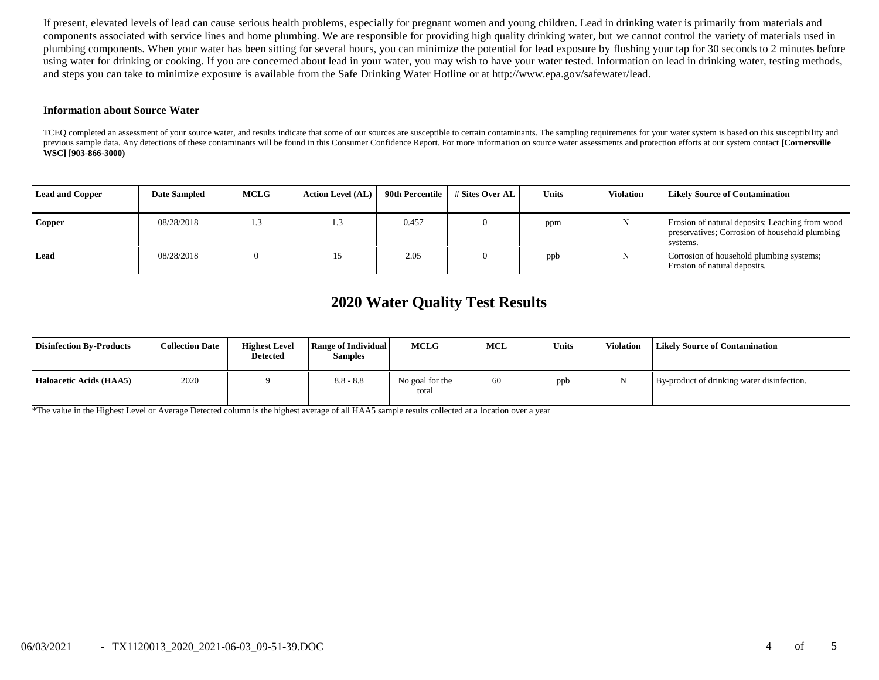If present, elevated levels of lead can cause serious health problems, especially for pregnant women and young children. Lead in drinking water is primarily from materials and components associated with service lines and home plumbing. We are responsible for providing high quality drinking water, but we cannot control the variety of materials used in plumbing components. When your water has been sitting for several hours, you can minimize the potential for lead exposure by flushing your tap for 30 seconds to 2 minutes before using water for drinking or cooking. If you are concerned about lead in your water, you may wish to have your water tested. Information on lead in drinking water, testing methods, and steps you can take to minimize exposure is available from the Safe Drinking Water Hotline or at http://www.epa.gov/safewater/lead.

#### **Information about Source Water**

TCEQ completed an assessment of your source water, and results indicate that some of our sources are susceptible to certain contaminants. The sampling requirements for your water system is based on this susceptibility and previous sample data. Any detections of these contaminants will be found in this Consumer Confidence Report. For more information on source water assessments and protection efforts at our system contact **[Cornersville WSC] [903-866-3000)**

| <b>Lead and Copper</b> | <b>Date Sampled</b> | <b>MCLG</b> | <b>Action Level (AL)</b> | 90th Percentile | # Sites Over AL | Units | <b>Violation</b> | <b>Likely Source of Contamination</b>                                                                         |
|------------------------|---------------------|-------------|--------------------------|-----------------|-----------------|-------|------------------|---------------------------------------------------------------------------------------------------------------|
| <b>Copper</b>          | 08/28/2018          | 1.3         |                          | 0.457           |                 | ppm   |                  | Erosion of natural deposits; Leaching from wood<br>preservatives; Corrosion of household plumbing<br>systems. |
| Lead                   | 08/28/2018          |             |                          | 2.05            |                 | ppb   |                  | Corrosion of household plumbing systems;<br>Erosion of natural deposits.                                      |

# **2020 Water Quality Test Results**

| <b>Disinfection By-Products</b> | <b>Collection Date</b> | <b>Highest Level</b><br><b>Detected</b> | Range of Individual<br><b>Samples</b> | MCLG                     | MCL | <b>Units</b> | Violation | <b>Likely Source of Contamination</b>      |
|---------------------------------|------------------------|-----------------------------------------|---------------------------------------|--------------------------|-----|--------------|-----------|--------------------------------------------|
| Haloacetic Acids (HAA5)         | 2020                   |                                         | $8.8 - 8.8$                           | No goal for the<br>total | 60  | ppb          |           | By-product of drinking water disinfection. |

\*The value in the Highest Level or Average Detected column is the highest average of all HAA5 sample results collected at a location over a year